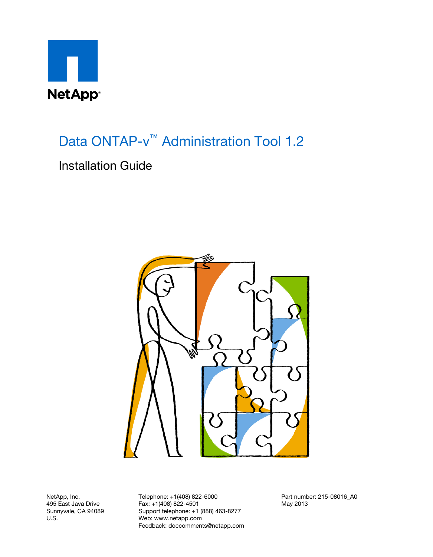

Data ONTAP-v<sup>™</sup> Administration Tool 1.2

## Installation Guide



NetApp, Inc. 495 East Java Drive Sunnyvale, CA 94089 U.S.

Telephone: +1(408) 822-6000 Fax: +1(408) 822-4501 Support telephone: +1 (888) 463-8277 Web: www.netapp.com Feedback: doccomments@netapp.com Part number: 215-08016\_A0 May 2013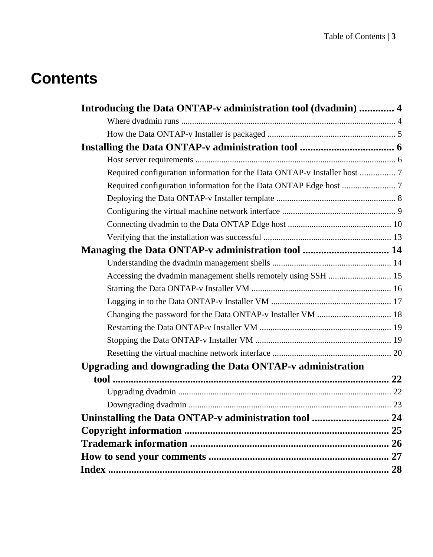# **Contents**

| Introducing the Data ONTAP-v administration tool (dvadmin)  4             |  |
|---------------------------------------------------------------------------|--|
|                                                                           |  |
|                                                                           |  |
|                                                                           |  |
|                                                                           |  |
| Required configuration information for the Data ONTAP-v Installer host  7 |  |
|                                                                           |  |
|                                                                           |  |
|                                                                           |  |
|                                                                           |  |
|                                                                           |  |
|                                                                           |  |
|                                                                           |  |
| Accessing the dvadmin management shells remotely using SSH  15            |  |
|                                                                           |  |
|                                                                           |  |
|                                                                           |  |
|                                                                           |  |
|                                                                           |  |
|                                                                           |  |
| Upgrading and downgrading the Data ONTAP-v administration                 |  |
|                                                                           |  |
|                                                                           |  |
|                                                                           |  |
| Uninstalling the Data ONTAP-v administration tool  24                     |  |
|                                                                           |  |
|                                                                           |  |
|                                                                           |  |
|                                                                           |  |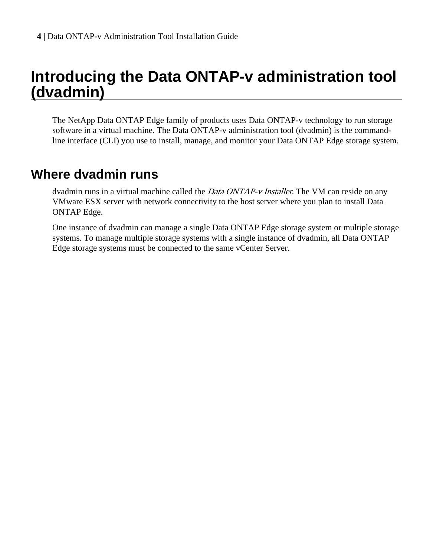# <span id="page-3-0"></span>**Introducing the Data ONTAP-v administration tool (dvadmin)**

The NetApp Data ONTAP Edge family of products uses Data ONTAP-v technology to run storage software in a virtual machine. The Data ONTAP-v administration tool (dvadmin) is the commandline interface (CLI) you use to install, manage, and monitor your Data ONTAP Edge storage system.

## **Where dvadmin runs**

dvadmin runs in a virtual machine called the *Data ONTAP-v Installer*. The VM can reside on any VMware ESX server with network connectivity to the host server where you plan to install Data ONTAP Edge.

One instance of dvadmin can manage a single Data ONTAP Edge storage system or multiple storage systems. To manage multiple storage systems with a single instance of dvadmin, all Data ONTAP Edge storage systems must be connected to the same vCenter Server.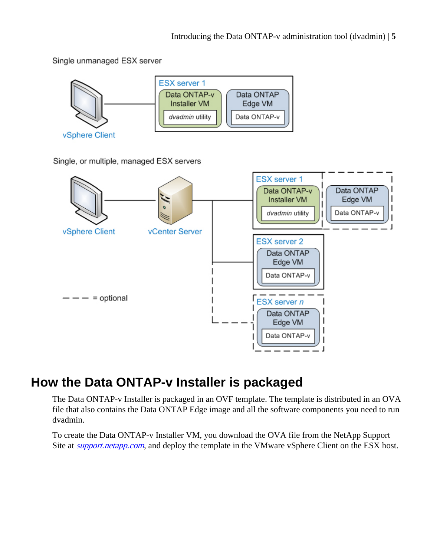<span id="page-4-0"></span>Single unmanaged ESX server



Single, or multiple, managed ESX servers



# **How the Data ONTAP-v Installer is packaged**

The Data ONTAP-v Installer is packaged in an OVF template. The template is distributed in an OVA file that also contains the Data ONTAP Edge image and all the software components you need to run dvadmin.

To create the Data ONTAP-v Installer VM, you download the OVA file from the NetApp Support Site at *[support.netapp.com](http://support.netapp.com/)*, and deploy the template in the VMware vSphere Client on the ESX host.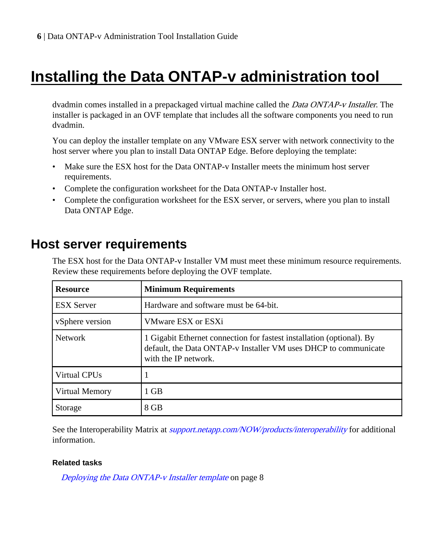# <span id="page-5-0"></span>**Installing the Data ONTAP-v administration tool**

dvadmin comes installed in a prepackaged virtual machine called the *Data ONTAP-v Installer*. The installer is packaged in an OVF template that includes all the software components you need to run dvadmin.

You can deploy the installer template on any VMware ESX server with network connectivity to the host server where you plan to install Data ONTAP Edge. Before deploying the template:

- Make sure the ESX host for the Data ONTAP-v Installer meets the minimum host server requirements.
- Complete the configuration worksheet for the Data ONTAP-v Installer host.
- Complete the configuration worksheet for the ESX server, or servers, where you plan to install Data ONTAP Edge.

# **Host server requirements**

The ESX host for the Data ONTAP-v Installer VM must meet these minimum resource requirements. Review these requirements before deploying the OVF template.

| <b>Resource</b>   | <b>Minimum Requirements</b>                                                                                                                                      |
|-------------------|------------------------------------------------------------------------------------------------------------------------------------------------------------------|
| <b>ESX</b> Server | Hardware and software must be 64-bit.                                                                                                                            |
| vSphere version   | <b>VMware ESX or ESXi</b>                                                                                                                                        |
| <b>Network</b>    | 1 Gigabit Ethernet connection for fastest installation (optional). By<br>default, the Data ONTAP-v Installer VM uses DHCP to communicate<br>with the IP network. |
| Virtual CPUs      |                                                                                                                                                                  |
| Virtual Memory    | 1 GB                                                                                                                                                             |
| Storage           | 8 GB                                                                                                                                                             |

See the Interoperability Matrix at *[support.netapp.com/NOW/products/interoperability](http://support.netapp.com/NOW/products/interoperability/)* for additional information.

### **Related tasks**

[Deploying the Data ONTAP-v Installer template](#page-7-0) on page 8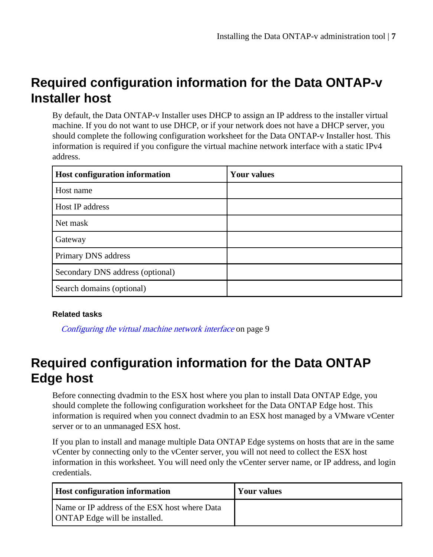# <span id="page-6-0"></span>**Required configuration information for the Data ONTAP-v Installer host**

By default, the Data ONTAP-v Installer uses DHCP to assign an IP address to the installer virtual machine. If you do not want to use DHCP, or if your network does not have a DHCP server, you should complete the following configuration worksheet for the Data ONTAP-v Installer host. This information is required if you configure the virtual machine network interface with a static IPv4 address.

| Host configuration information   | <b>Your values</b> |
|----------------------------------|--------------------|
| Host name                        |                    |
| Host IP address                  |                    |
| Net mask                         |                    |
| Gateway                          |                    |
| Primary DNS address              |                    |
| Secondary DNS address (optional) |                    |
| Search domains (optional)        |                    |

### **Related tasks**

[Configuring the virtual machine network interface](#page-8-0) on page 9

# **Required configuration information for the Data ONTAP Edge host**

Before connecting dvadmin to the ESX host where you plan to install Data ONTAP Edge, you should complete the following configuration worksheet for the Data ONTAP Edge host. This information is required when you connect dvadmin to an ESX host managed by a VMware vCenter server or to an unmanaged ESX host.

If you plan to install and manage multiple Data ONTAP Edge systems on hosts that are in the same vCenter by connecting only to the vCenter server, you will not need to collect the ESX host information in this worksheet. You will need only the vCenter server name, or IP address, and login credentials.

| <b>Host configuration information</b>                                                 | Your values |
|---------------------------------------------------------------------------------------|-------------|
| Name or IP address of the ESX host where Data<br><b>ONTAP</b> Edge will be installed. |             |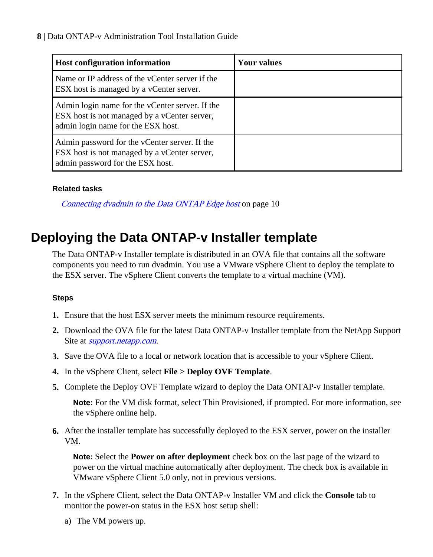<span id="page-7-0"></span>**8** | Data ONTAP-v Administration Tool Installation Guide

| <b>Host configuration information</b>                                                                                                 | <b>Your values</b> |
|---------------------------------------------------------------------------------------------------------------------------------------|--------------------|
| Name or IP address of the vCenter server if the<br>ESX host is managed by a vCenter server.                                           |                    |
| Admin login name for the vCenter server. If the<br>ESX host is not managed by a vCenter server,<br>admin login name for the ESX host. |                    |
| Admin password for the vCenter server. If the<br>ESX host is not managed by a vCenter server,<br>admin password for the ESX host.     |                    |

### **Related tasks**

[Connecting dvadmin to the Data ONTAP Edge host](#page-9-0) on page 10

# **Deploying the Data ONTAP-v Installer template**

The Data ONTAP-v Installer template is distributed in an OVA file that contains all the software components you need to run dvadmin. You use a VMware vSphere Client to deploy the template to the ESX server. The vSphere Client converts the template to a virtual machine (VM).

### **Steps**

- **1.** Ensure that the host ESX server meets the minimum resource requirements.
- **2.** Download the OVA file for the latest Data ONTAP-v Installer template from the NetApp Support Site at *[support.netapp.com](http://support.netapp.com/).*
- **3.** Save the OVA file to a local or network location that is accessible to your vSphere Client.
- **4.** In the vSphere Client, select **File > Deploy OVF Template**.
- **5.** Complete the Deploy OVF Template wizard to deploy the Data ONTAP-v Installer template.

**Note:** For the VM disk format, select Thin Provisioned, if prompted. For more information, see the vSphere online help.

**6.** After the installer template has successfully deployed to the ESX server, power on the installer VM.

**Note:** Select the **Power on after deployment** check box on the last page of the wizard to power on the virtual machine automatically after deployment. The check box is available in VMware vSphere Client 5.0 only, not in previous versions.

- **7.** In the vSphere Client, select the Data ONTAP-v Installer VM and click the **Console** tab to monitor the power-on status in the ESX host setup shell:
	- a) The VM powers up.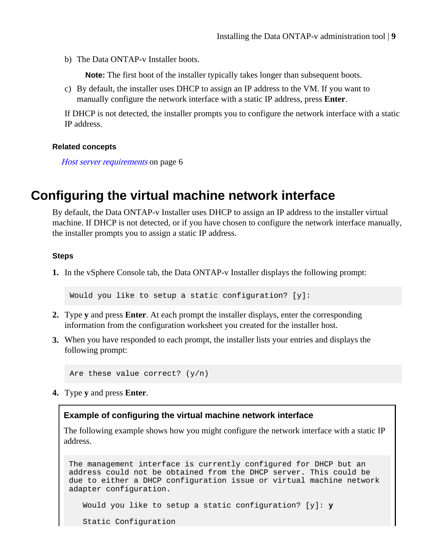<span id="page-8-0"></span>b) The Data ONTAP-v Installer boots.

**Note:** The first boot of the installer typically takes longer than subsequent boots.

c) By default, the installer uses DHCP to assign an IP address to the VM. If you want to manually configure the network interface with a static IP address, press **Enter**.

If DHCP is not detected, the installer prompts you to configure the network interface with a static IP address.

#### **Related concepts**

[Host server requirements](#page-5-0) on page 6

## **Configuring the virtual machine network interface**

By default, the Data ONTAP-v Installer uses DHCP to assign an IP address to the installer virtual machine. If DHCP is not detected, or if you have chosen to configure the network interface manually, the installer prompts you to assign a static IP address.

#### **Steps**

**1.** In the vSphere Console tab, the Data ONTAP-v Installer displays the following prompt:

Would you like to setup a static configuration? [y]:

- **2.** Type **y** and press **Enter**. At each prompt the installer displays, enter the corresponding information from the configuration worksheet you created for the installer host.
- **3.** When you have responded to each prompt, the installer lists your entries and displays the following prompt:

```
Are these value correct? (y/n)
```
**4.** Type **y** and press **Enter**.

#### **Example of configuring the virtual machine network interface**

The following example shows how you might configure the network interface with a static IP address.

```
The management interface is currently configured for DHCP but an 
address could not be obtained from the DHCP server. This could be 
due to either a DHCP configuration issue or virtual machine network 
adapter configuration.
```

```
 Would you like to setup a static configuration? [y]: y
```
Static Configuration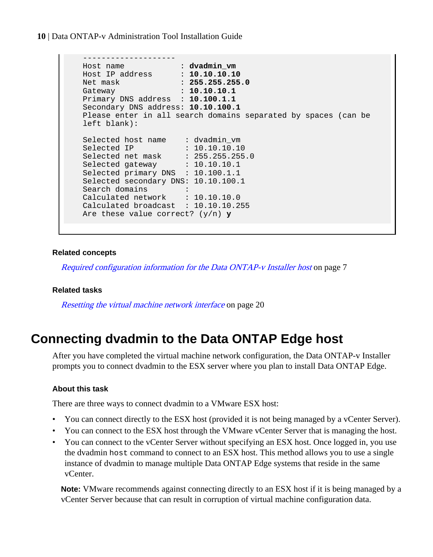<span id="page-9-0"></span>**10** | Data ONTAP-v Administration Tool Installation Guide

```
 --------------------
 Host name : dvadmin_vm
 Host IP address : 10.10.10.10
Net mask : 255.255.255.0
 Gateway : 10.10.10.1
  Primary DNS address : 10.100.1.1
   Secondary DNS address: 10.10.100.1
   Please enter in all search domains separated by spaces (can be 
   left blank):
 Selected host name : dvadmin_vm
Selected IP : 10.10.10.10
Selected net mask : 255.255.255.0
 Selected gateway : 10.10.10.1
   Selected primary DNS : 10.100.1.1
   Selected secondary DNS: 10.10.100.1
 Search domains :
 Calculated network : 10.10.10.0
   Calculated broadcast : 10.10.10.255
   Are these value correct? (y/n) y
```
#### **Related concepts**

[Required configuration information for the Data ONTAP-v Installer host](#page-6-0) on page 7

#### **Related tasks**

[Resetting the virtual machine network interface](#page-19-0) on page 20

## **Connecting dvadmin to the Data ONTAP Edge host**

After you have completed the virtual machine network configuration, the Data ONTAP-v Installer prompts you to connect dvadmin to the ESX server where you plan to install Data ONTAP Edge.

#### **About this task**

There are three ways to connect dvadmin to a VMware ESX host:

- You can connect directly to the ESX host (provided it is not being managed by a vCenter Server).
- You can connect to the ESX host through the VMware vCenter Server that is managing the host.
- You can connect to the vCenter Server without specifying an ESX host. Once logged in, you use the dvadmin host command to connect to an ESX host. This method allows you to use a single instance of dvadmin to manage multiple Data ONTAP Edge systems that reside in the same vCenter.

**Note:** VMware recommends against connecting directly to an ESX host if it is being managed by a vCenter Server because that can result in corruption of virtual machine configuration data.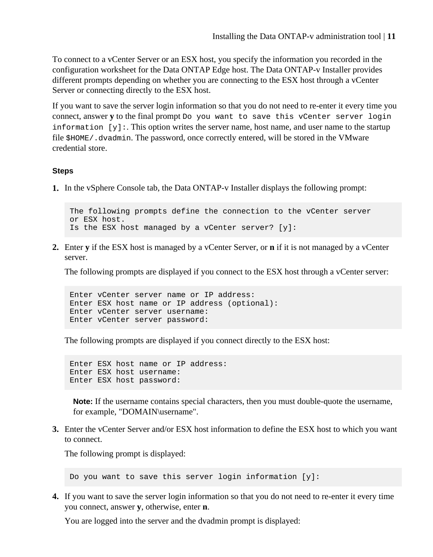To connect to a vCenter Server or an ESX host, you specify the information you recorded in the configuration worksheet for the Data ONTAP Edge host. The Data ONTAP-v Installer provides different prompts depending on whether you are connecting to the ESX host through a vCenter Server or connecting directly to the ESX host.

If you want to save the server login information so that you do not need to re-enter it every time you connect, answer **y** to the final prompt Do you want to save this vCenter server login information  $[y]$ :. This option writes the server name, host name, and user name to the startup file \$HOME/.dvadmin. The password, once correctly entered, will be stored in the VMware credential store.

#### **Steps**

**1.** In the vSphere Console tab, the Data ONTAP-v Installer displays the following prompt:

The following prompts define the connection to the vCenter server or ESX host. Is the ESX host managed by a vCenter server?  $[y]$ :

**2.** Enter **y** if the ESX host is managed by a vCenter Server, or **n** if it is not managed by a vCenter server.

The following prompts are displayed if you connect to the ESX host through a vCenter server:

Enter vCenter server name or IP address: Enter ESX host name or IP address (optional): Enter vCenter server username: Enter vCenter server password:

The following prompts are displayed if you connect directly to the ESX host:

Enter ESX host name or IP address: Enter ESX host username: Enter ESX host password:

**Note:** If the username contains special characters, then you must double-quote the username, for example, "DOMAIN\username".

**3.** Enter the vCenter Server and/or ESX host information to define the ESX host to which you want to connect.

The following prompt is displayed:

Do you want to save this server login information [y]:

**4.** If you want to save the server login information so that you do not need to re-enter it every time you connect, answer **y**, otherwise, enter **n**.

You are logged into the server and the dvadmin prompt is displayed: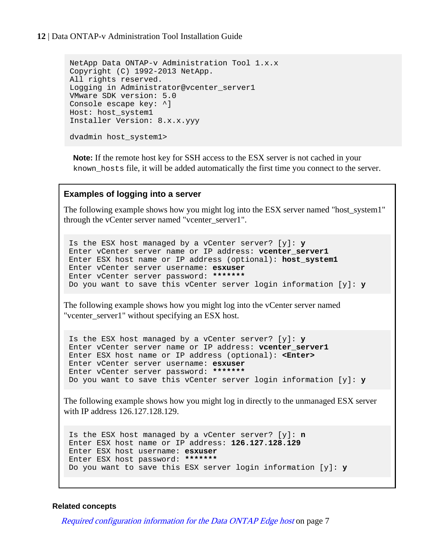#### **12** | Data ONTAP-v Administration Tool Installation Guide

```
NetApp Data ONTAP-v Administration Tool 1.x.x
Copyright (C) 1992-2013 NetApp.
All rights reserved.
Logging in Administrator@vcenter_server1
VMware SDK version: 5.0
Console escape key: ^]
Host: host_system1
Installer Version: 8.x.x.yyy
dvadmin host_system1>
```
**Note:** If the remote host key for SSH access to the ESX server is not cached in your known\_hosts file, it will be added automatically the first time you connect to the server.

#### **Examples of logging into a server**

The following example shows how you might log into the ESX server named "host\_system1" through the vCenter server named "vcenter\_server1".

Is the ESX host managed by a vCenter server? [y]: **y** Enter vCenter server name or IP address: **vcenter\_server1** Enter ESX host name or IP address (optional): **host\_system1** Enter vCenter server username: **esxuser** Enter vCenter server password: **\*\*\*\*\*\*\*** Do you want to save this vCenter server login information [y]: **y**

The following example shows how you might log into the vCenter server named "vcenter\_server1" without specifying an ESX host.

Is the ESX host managed by a vCenter server? [y]: **y** Enter vCenter server name or IP address: **vcenter\_server1** Enter ESX host name or IP address (optional): **<Enter>** Enter vCenter server username: **esxuser** Enter vCenter server password: **\*\*\*\*\*\*\*** Do you want to save this vCenter server login information [y]: **y**

The following example shows how you might log in directly to the unmanaged ESX server with IP address 126.127.128.129.

```
Is the ESX host managed by a vCenter server? [y]: n
Enter ESX host name or IP address: 126.127.128.129
Enter ESX host username: esxuser
Enter ESX host password: *******
Do you want to save this ESX server login information [y]: y
```
#### **Related concepts**

[Required configuration information for the Data ONTAP Edge host](#page-6-0) on page 7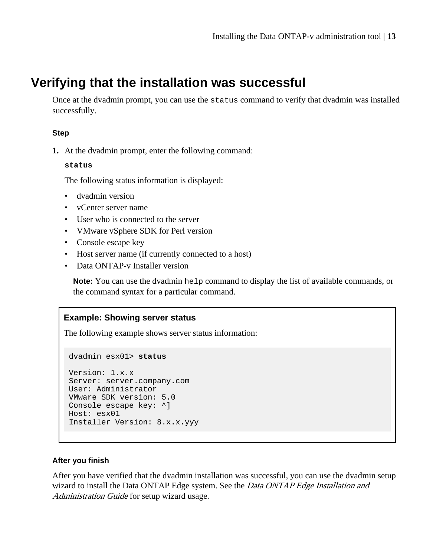# <span id="page-12-0"></span>**Verifying that the installation was successful**

Once at the dvadmin prompt, you can use the status command to verify that dvadmin was installed successfully.

#### **Step**

**1.** At the dvadmin prompt, enter the following command:

#### **status**

The following status information is displayed:

- dvadmin version
- vCenter server name
- User who is connected to the server
- VMware vSphere SDK for Perl version
- Console escape key
- Host server name (if currently connected to a host)
- Data ONTAP-v Installer version

**Note:** You can use the dvadmin help command to display the list of available commands, or the command syntax for a particular command.

### **Example: Showing server status**

The following example shows server status information:

dvadmin esx01> **status**

```
Version: 1.x.x
Server: server.company.com
User: Administrator
VMware SDK version: 5.0
Console escape key: ^]
Host: esx01
Installer Version: 8.x.x.yyy
```
#### **After you finish**

After you have verified that the dvadmin installation was successful, you can use the dvadmin setup wizard to install the Data ONTAP Edge system. See the *Data ONTAP Edge Installation and* Administration Guide for setup wizard usage.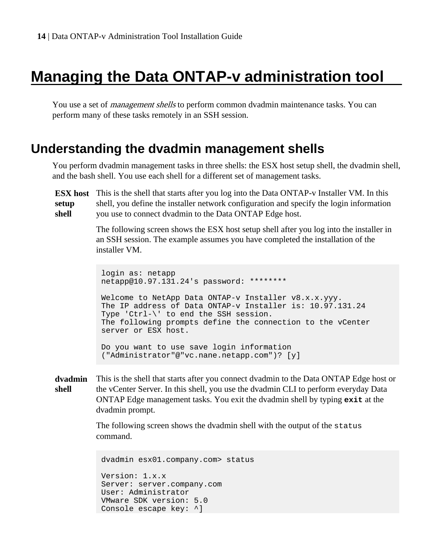# <span id="page-13-0"></span>**Managing the Data ONTAP-v administration tool**

You use a set of *management shells* to perform common dvadmin maintenance tasks. You can perform many of these tasks remotely in an SSH session.

## **Understanding the dvadmin management shells**

You perform dvadmin management tasks in three shells: the ESX host setup shell, the dvadmin shell, and the bash shell. You use each shell for a different set of management tasks.

**ESX host** This is the shell that starts after you log into the Data ONTAP-v Installer VM. In this **setup shell** shell, you define the installer network configuration and specify the login information you use to connect dvadmin to the Data ONTAP Edge host.

> The following screen shows the ESX host setup shell after you log into the installer in an SSH session. The example assumes you have completed the installation of the installer VM.

login as: netapp netapp@10.97.131.24's password: \*\*\*\*\*\*\*\* Welcome to NetApp Data ONTAP-v Installer v8.x.x.yyy. The IP address of Data ONTAP-v Installer is: 10.97.131.24 Type 'Ctrl-\' to end the SSH session. The following prompts define the connection to the vCenter server or ESX host. Do you want to use save login information ("Administrator"@"vc.nane.netapp.com")? [y]

#### **dvadmin shell** This is the shell that starts after you connect dvadmin to the Data ONTAP Edge host or the vCenter Server. In this shell, you use the dvadmin CLI to perform everyday Data ONTAP Edge management tasks. You exit the dvadmin shell by typing **exit** at the dvadmin prompt.

The following screen shows the dvadmin shell with the output of the status command.

```
dvadmin esx01.company.com> status
Version: 1.x.x
Server: server.company.com
User: Administrator
VMware SDK version: 5.0
Console escape key: ^]
```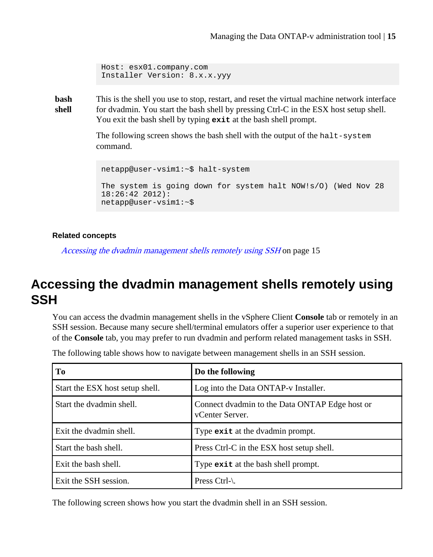```
Host: esx01.company.com
Installer Version: 8.x.x.yyy
```
<span id="page-14-0"></span>**bash shell** This is the shell you use to stop, restart, and reset the virtual machine network interface for dvadmin. You start the bash shell by pressing Ctrl-C in the ESX host setup shell. You exit the bash shell by typing **exit** at the bash shell prompt.

> The following screen shows the bash shell with the output of the halt-system command.

```
netapp@user-vsim1:~$ halt-system
The system is going down for system halt NOW!s/O) (Wed Nov 28 
18:26:42 2012):
netapp@user-vsim1:~$
```
#### **Related concepts**

Accessing the dvadmin management shells remotely using SSH on page 15

# **Accessing the dvadmin management shells remotely using SSH**

You can access the dvadmin management shells in the vSphere Client **Console** tab or remotely in an SSH session. Because many secure shell/terminal emulators offer a superior user experience to that of the **Console** tab, you may prefer to run dvadmin and perform related management tasks in SSH.

|  |  |  |  |  |  | The following table shows how to navigate between management shells in an SSH session. |  |  |  |
|--|--|--|--|--|--|----------------------------------------------------------------------------------------|--|--|--|
|--|--|--|--|--|--|----------------------------------------------------------------------------------------|--|--|--|

| To                              | Do the following                                                  |
|---------------------------------|-------------------------------------------------------------------|
| Start the ESX host setup shell. | Log into the Data ONTAP-v Installer.                              |
| Start the dvadmin shell.        | Connect dvadmin to the Data ONTAP Edge host or<br>vCenter Server. |
| Exit the dvadmin shell.         | Type exit at the dvadmin prompt.                                  |
| Start the bash shell.           | Press Ctrl-C in the ESX host setup shell.                         |
| Exit the bash shell.            | Type exit at the bash shell prompt.                               |
| Exit the SSH session.           | Press Ctrl-\.                                                     |

The following screen shows how you start the dvadmin shell in an SSH session.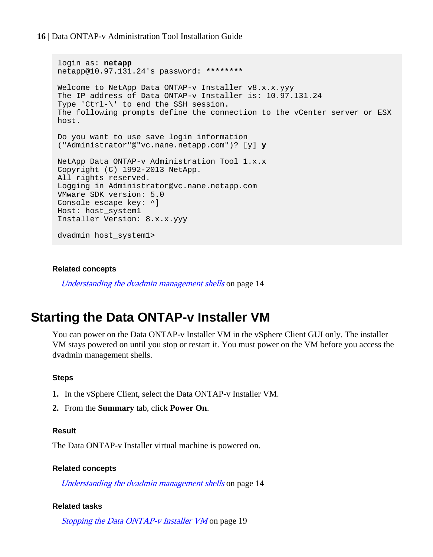#### <span id="page-15-0"></span>**16** | Data ONTAP-v Administration Tool Installation Guide

```
login as: netapp
netapp@10.97.131.24's password: ********
Welcome to NetApp Data ONTAP-v Installer v8.x.x.yyy
The IP address of Data ONTAP-v Installer is: 10.97.131.24
Type 'Ctrl-\' to end the SSH session.
The following prompts define the connection to the vCenter server or ESX 
host.
Do you want to use save login information 
("Administrator"@"vc.nane.netapp.com")? [y] y
NetApp Data ONTAP-v Administration Tool 1.x.x
Copyright (C) 1992-2013 NetApp.
All rights reserved.
Logging in Administrator@vc.nane.netapp.com
VMware SDK version: 5.0
Console escape key: ^]
Host: host_system1
Installer Version: 8.x.x.yyy
dvadmin host_system1>
```
#### **Related concepts**

[Understanding the dvadmin management shells](#page-13-0) on page 14

## **Starting the Data ONTAP-v Installer VM**

You can power on the Data ONTAP-v Installer VM in the vSphere Client GUI only. The installer VM stays powered on until you stop or restart it. You must power on the VM before you access the dvadmin management shells.

#### **Steps**

- **1.** In the vSphere Client, select the Data ONTAP-v Installer VM.
- **2.** From the **Summary** tab, click **Power On**.

#### **Result**

The Data ONTAP-v Installer virtual machine is powered on.

#### **Related concepts**

[Understanding the dvadmin management shells](#page-13-0) on page 14

#### **Related tasks**

[Stopping the Data ONTAP-v Installer VM](#page-18-0) on page 19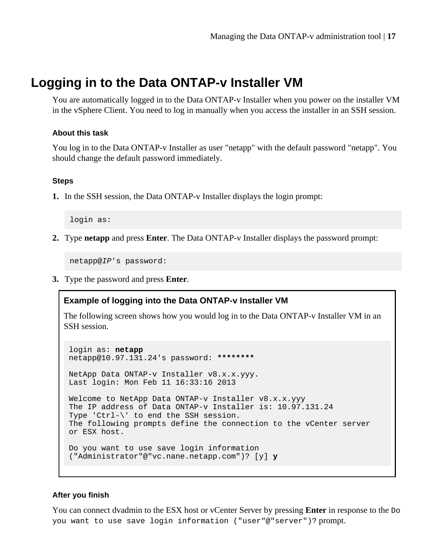# <span id="page-16-0"></span>**Logging in to the Data ONTAP-v Installer VM**

You are automatically logged in to the Data ONTAP-v Installer when you power on the installer VM in the vSphere Client. You need to log in manually when you access the installer in an SSH session.

#### **About this task**

You log in to the Data ONTAP-v Installer as user "netapp" with the default password "netapp". You should change the default password immediately.

#### **Steps**

**1.** In the SSH session, the Data ONTAP-v Installer displays the login prompt:

login as:

**2.** Type **netapp** and press **Enter**. The Data ONTAP-v Installer displays the password prompt:

netapp@IP's password:

**3.** Type the password and press **Enter**.

### **Example of logging into the Data ONTAP-v Installer VM**

The following screen shows how you would log in to the Data ONTAP-v Installer VM in an SSH session.

```
login as: netapp
netapp@10.97.131.24's password: ********
NetApp Data ONTAP-v Installer v8.x.x.yyy.
Last login: Mon Feb 11 16:33:16 2013
Welcome to NetApp Data ONTAP-v Installer v8.x.x.yyy
The IP address of Data ONTAP-v Installer is: 10.97.131.24
Type 'Ctrl-\' to end the SSH session.
The following prompts define the connection to the vCenter server 
or ESX host.
Do you want to use save login information 
("Administrator"@"vc.nane.netapp.com")? [y] y
```
#### **After you finish**

You can connect dvadmin to the ESX host or vCenter Server by pressing **Enter** in response to the Do you want to use save login information ("user"@"server")? prompt.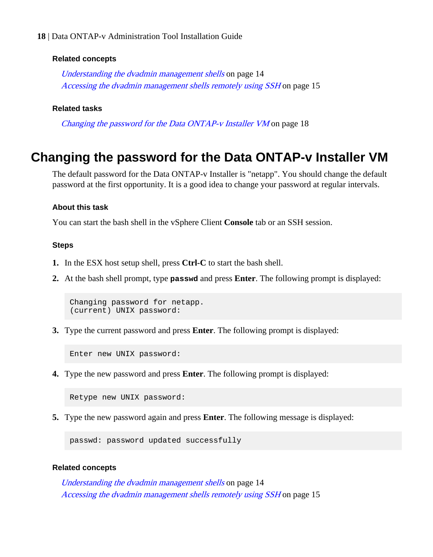#### <span id="page-17-0"></span>**18** | Data ONTAP-v Administration Tool Installation Guide

#### **Related concepts**

[Understanding the dvadmin management shells](#page-13-0) on page 14 [Accessing the dvadmin management shells remotely using SSH](#page-14-0) on page 15

#### **Related tasks**

Changing the password for the Data ONTAP-v Installer VM on page 18

## **Changing the password for the Data ONTAP-v Installer VM**

The default password for the Data ONTAP-v Installer is "netapp". You should change the default password at the first opportunity. It is a good idea to change your password at regular intervals.

#### **About this task**

You can start the bash shell in the vSphere Client **Console** tab or an SSH session.

#### **Steps**

- **1.** In the ESX host setup shell, press **Ctrl-C** to start the bash shell.
- **2.** At the bash shell prompt, type **passwd** and press **Enter**. The following prompt is displayed:

Changing password for netapp. (current) UNIX password:

**3.** Type the current password and press **Enter**. The following prompt is displayed:

Enter new UNIX password:

**4.** Type the new password and press **Enter**. The following prompt is displayed:

Retype new UNIX password:

**5.** Type the new password again and press **Enter**. The following message is displayed:

passwd: password updated successfully

#### **Related concepts**

[Understanding the dvadmin management shells](#page-13-0) on page 14 [Accessing the dvadmin management shells remotely using SSH](#page-14-0) on page 15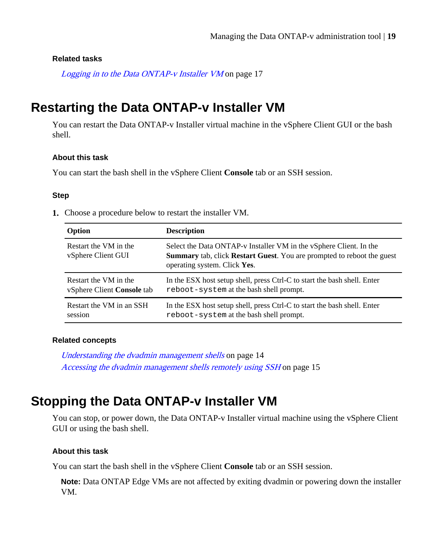#### <span id="page-18-0"></span>**Related tasks**

[Logging in to the Data ONTAP-v Installer VM](#page-16-0) on page 17

# **Restarting the Data ONTAP-v Installer VM**

You can restart the Data ONTAP-v Installer virtual machine in the vSphere Client GUI or the bash shell.

#### **About this task**

You can start the bash shell in the vSphere Client **Console** tab or an SSH session.

#### **Step**

**1.** Choose a procedure below to restart the installer VM.

| Option                                      | <b>Description</b>                                                                                                                                                                          |
|---------------------------------------------|---------------------------------------------------------------------------------------------------------------------------------------------------------------------------------------------|
| Restart the VM in the<br>vSphere Client GUI | Select the Data ONTAP-v Installer VM in the vSphere Client. In the<br><b>Summary</b> tab, click <b>Restart Guest</b> . You are prompted to reboot the guest<br>operating system. Click Yes. |
| Restart the VM in the                       | In the ESX host setup shell, press Ctrl-C to start the bash shell. Enter                                                                                                                    |
| vSphere Client Console tab                  | reboot-system at the bash shell prompt.                                                                                                                                                     |
| Restart the VM in an SSH                    | In the ESX host setup shell, press Ctrl-C to start the bash shell. Enter                                                                                                                    |
| session                                     | reboot-system at the bash shell prompt.                                                                                                                                                     |

#### **Related concepts**

[Understanding the dvadmin management shells](#page-13-0) on page 14 [Accessing the dvadmin management shells remotely using SSH](#page-14-0) on page 15

# **Stopping the Data ONTAP-v Installer VM**

You can stop, or power down, the Data ONTAP-v Installer virtual machine using the vSphere Client GUI or using the bash shell.

#### **About this task**

You can start the bash shell in the vSphere Client **Console** tab or an SSH session.

**Note:** Data ONTAP Edge VMs are not affected by exiting dvadmin or powering down the installer VM.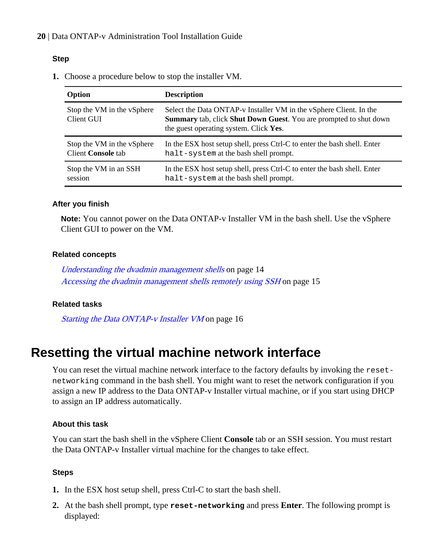#### <span id="page-19-0"></span>**Step**

**1.** Choose a procedure below to stop the installer VM.

| Option                                   | <b>Description</b>                                                                                                                                                                               |
|------------------------------------------|--------------------------------------------------------------------------------------------------------------------------------------------------------------------------------------------------|
| Stop the VM in the vSphere<br>Client GUI | Select the Data ONTAP-v Installer VM in the vSphere Client. In the<br><b>Summary</b> tab, click <b>Shut Down Guest</b> . You are prompted to shut down<br>the guest operating system. Click Yes. |
| Stop the VM in the vSphere               | In the ESX host setup shell, press Ctrl-C to enter the bash shell. Enter                                                                                                                         |
| Client Console tab                       | halt-system at the bash shell prompt.                                                                                                                                                            |
| Stop the VM in an SSH                    | In the ESX host setup shell, press Ctrl-C to enter the bash shell. Enter                                                                                                                         |
| session                                  | halt-system at the bash shell prompt.                                                                                                                                                            |

#### **After you finish**

**Note:** You cannot power on the Data ONTAP-v Installer VM in the bash shell. Use the vSphere Client GUI to power on the VM.

#### **Related concepts**

[Understanding the dvadmin management shells](#page-13-0) on page 14 [Accessing the dvadmin management shells remotely using SSH](#page-14-0) on page 15

### **Related tasks**

[Starting the Data ONTAP-v Installer VM](#page-15-0) on page 16

# **Resetting the virtual machine network interface**

You can reset the virtual machine network interface to the factory defaults by invoking the resetnetworking command in the bash shell. You might want to reset the network configuration if you assign a new IP address to the Data ONTAP-v Installer virtual machine, or if you start using DHCP to assign an IP address automatically.

#### **About this task**

You can start the bash shell in the vSphere Client **Console** tab or an SSH session. You must restart the Data ONTAP-v Installer virtual machine for the changes to take effect.

#### **Steps**

- **1.** In the ESX host setup shell, press Ctrl-C to start the bash shell.
- **2.** At the bash shell prompt, type **reset-networking** and press **Enter**. The following prompt is displayed: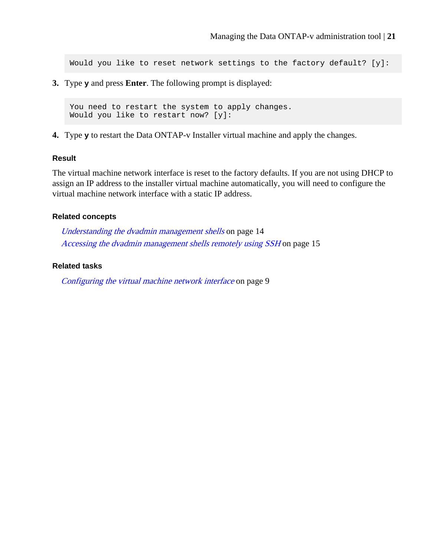Would you like to reset network settings to the factory default? [y]:

**3.** Type **y** and press **Enter**. The following prompt is displayed:

You need to restart the system to apply changes. Would you like to restart now? [y]:

**4.** Type **y** to restart the Data ONTAP-v Installer virtual machine and apply the changes.

#### **Result**

The virtual machine network interface is reset to the factory defaults. If you are not using DHCP to assign an IP address to the installer virtual machine automatically, you will need to configure the virtual machine network interface with a static IP address.

#### **Related concepts**

[Understanding the dvadmin management shells](#page-13-0) on page 14 [Accessing the dvadmin management shells remotely using SSH](#page-14-0) on page 15

#### **Related tasks**

[Configuring the virtual machine network interface](#page-8-0) on page 9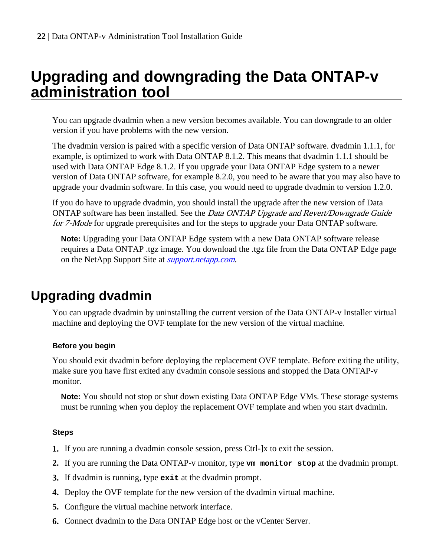# <span id="page-21-0"></span>**Upgrading and downgrading the Data ONTAP-v administration tool**

You can upgrade dvadmin when a new version becomes available. You can downgrade to an older version if you have problems with the new version.

The dvadmin version is paired with a specific version of Data ONTAP software. dvadmin 1.1.1, for example, is optimized to work with Data ONTAP 8.1.2. This means that dvadmin 1.1.1 should be used with Data ONTAP Edge 8.1.2. If you upgrade your Data ONTAP Edge system to a newer version of Data ONTAP software, for example 8.2.0, you need to be aware that you may also have to upgrade your dvadmin software. In this case, you would need to upgrade dvadmin to version 1.2.0.

If you do have to upgrade dvadmin, you should install the upgrade after the new version of Data ONTAP software has been installed. See the *Data ONTAP Upgrade and Revert/Downgrade Guide* for 7-Mode for upgrade prerequisites and for the steps to upgrade your Data ONTAP software.

**Note:** Upgrading your Data ONTAP Edge system with a new Data ONTAP software release requires a Data ONTAP .tgz image. You download the .tgz file from the Data ONTAP Edge page on the NetApp Support Site at *[support.netapp.com](http://support.netapp.com/)*.

# **Upgrading dvadmin**

You can upgrade dvadmin by uninstalling the current version of the Data ONTAP-v Installer virtual machine and deploying the OVF template for the new version of the virtual machine.

### **Before you begin**

You should exit dvadmin before deploying the replacement OVF template. Before exiting the utility, make sure you have first exited any dvadmin console sessions and stopped the Data ONTAP-v monitor.

**Note:** You should not stop or shut down existing Data ONTAP Edge VMs. These storage systems must be running when you deploy the replacement OVF template and when you start dvadmin.

### **Steps**

- **1.** If you are running a dvadmin console session, press Ctrl-]x to exit the session.
- **2.** If you are running the Data ONTAP-v monitor, type **vm monitor stop** at the dvadmin prompt.
- **3.** If dvadmin is running, type **exit** at the dvadmin prompt.
- **4.** Deploy the OVF template for the new version of the dvadmin virtual machine.
- **5.** Configure the virtual machine network interface.
- **6.** Connect dvadmin to the Data ONTAP Edge host or the vCenter Server.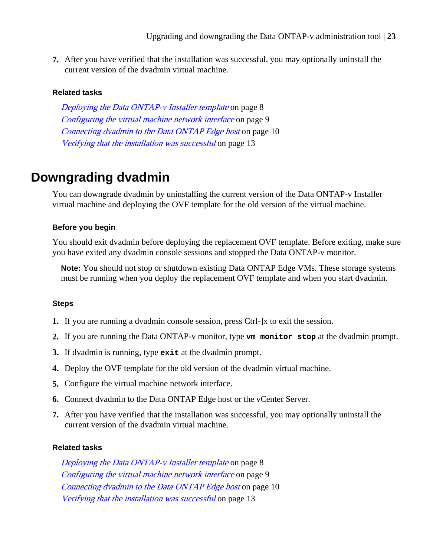<span id="page-22-0"></span>**7.** After you have verified that the installation was successful, you may optionally uninstall the current version of the dvadmin virtual machine.

#### **Related tasks**

[Deploying the Data ONTAP-v Installer template](#page-7-0) on page 8 [Configuring the virtual machine network interface](#page-8-0) on page 9 [Connecting dvadmin to the Data ONTAP Edge host](#page-9-0) on page 10 [Verifying that the installation was successful](#page-12-0) on page 13

# **Downgrading dvadmin**

You can downgrade dvadmin by uninstalling the current version of the Data ONTAP-v Installer virtual machine and deploying the OVF template for the old version of the virtual machine.

#### **Before you begin**

You should exit dvadmin before deploying the replacement OVF template. Before exiting, make sure you have exited any dvadmin console sessions and stopped the Data ONTAP-v monitor.

**Note:** You should not stop or shutdown existing Data ONTAP Edge VMs. These storage systems must be running when you deploy the replacement OVF template and when you start dvadmin.

#### **Steps**

- **1.** If you are running a dvadmin console session, press Ctrl-]x to exit the session.
- **2.** If you are running the Data ONTAP-v monitor, type **vm monitor stop** at the dvadmin prompt.
- **3.** If dvadmin is running, type **exit** at the dvadmin prompt.
- **4.** Deploy the OVF template for the old version of the dvadmin virtual machine.
- **5.** Configure the virtual machine network interface.
- **6.** Connect dvadmin to the Data ONTAP Edge host or the vCenter Server.
- **7.** After you have verified that the installation was successful, you may optionally uninstall the current version of the dvadmin virtual machine.

#### **Related tasks**

[Deploying the Data ONTAP-v Installer template](#page-7-0) on page 8 [Configuring the virtual machine network interface](#page-8-0) on page 9 [Connecting dvadmin to the Data ONTAP Edge host](#page-9-0) on page 10 [Verifying that the installation was successful](#page-12-0) on page 13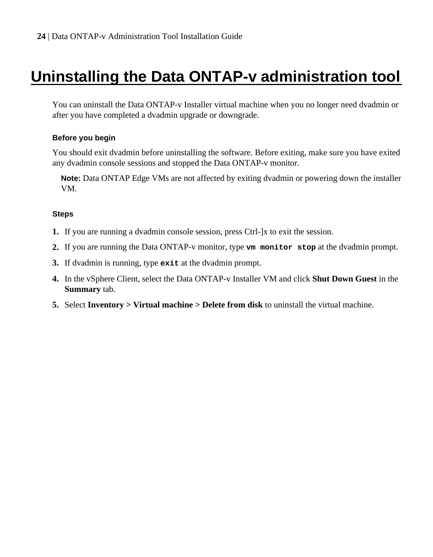# <span id="page-23-0"></span>**Uninstalling the Data ONTAP-v administration tool**

You can uninstall the Data ONTAP-v Installer virtual machine when you no longer need dvadmin or after you have completed a dvadmin upgrade or downgrade.

#### **Before you begin**

You should exit dvadmin before uninstalling the software. Before exiting, make sure you have exited any dvadmin console sessions and stopped the Data ONTAP-v monitor.

**Note:** Data ONTAP Edge VMs are not affected by exiting dvadmin or powering down the installer VM.

#### **Steps**

- **1.** If you are running a dvadmin console session, press Ctrl-]x to exit the session.
- **2.** If you are running the Data ONTAP-v monitor, type **vm monitor stop** at the dvadmin prompt.
- **3.** If dvadmin is running, type **exit** at the dvadmin prompt.
- **4.** In the vSphere Client, select the Data ONTAP-v Installer VM and click **Shut Down Guest** in the **Summary** tab.
- **5.** Select **Inventory > Virtual machine > Delete from disk** to uninstall the virtual machine.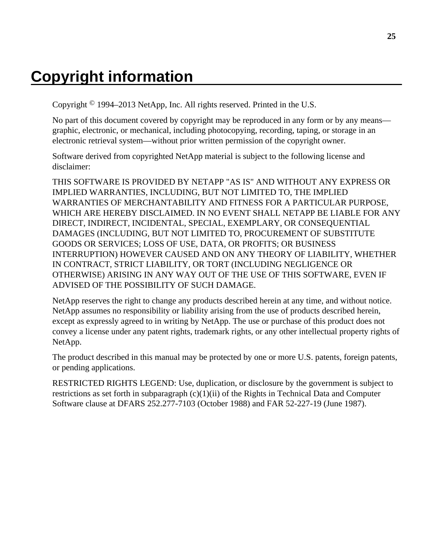# <span id="page-24-0"></span>**Copyright information**

Copyright © 1994–2013 NetApp, Inc. All rights reserved. Printed in the U.S.

No part of this document covered by copyright may be reproduced in any form or by any means graphic, electronic, or mechanical, including photocopying, recording, taping, or storage in an electronic retrieval system—without prior written permission of the copyright owner.

Software derived from copyrighted NetApp material is subject to the following license and disclaimer:

THIS SOFTWARE IS PROVIDED BY NETAPP "AS IS" AND WITHOUT ANY EXPRESS OR IMPLIED WARRANTIES, INCLUDING, BUT NOT LIMITED TO, THE IMPLIED WARRANTIES OF MERCHANTABILITY AND FITNESS FOR A PARTICULAR PURPOSE, WHICH ARE HEREBY DISCLAIMED. IN NO EVENT SHALL NETAPP BE LIABLE FOR ANY DIRECT, INDIRECT, INCIDENTAL, SPECIAL, EXEMPLARY, OR CONSEQUENTIAL DAMAGES (INCLUDING, BUT NOT LIMITED TO, PROCUREMENT OF SUBSTITUTE GOODS OR SERVICES; LOSS OF USE, DATA, OR PROFITS; OR BUSINESS INTERRUPTION) HOWEVER CAUSED AND ON ANY THEORY OF LIABILITY, WHETHER IN CONTRACT, STRICT LIABILITY, OR TORT (INCLUDING NEGLIGENCE OR OTHERWISE) ARISING IN ANY WAY OUT OF THE USE OF THIS SOFTWARE, EVEN IF ADVISED OF THE POSSIBILITY OF SUCH DAMAGE.

NetApp reserves the right to change any products described herein at any time, and without notice. NetApp assumes no responsibility or liability arising from the use of products described herein, except as expressly agreed to in writing by NetApp. The use or purchase of this product does not convey a license under any patent rights, trademark rights, or any other intellectual property rights of NetApp.

The product described in this manual may be protected by one or more U.S. patents, foreign patents, or pending applications.

RESTRICTED RIGHTS LEGEND: Use, duplication, or disclosure by the government is subject to restrictions as set forth in subparagraph  $(c)(1)(ii)$  of the Rights in Technical Data and Computer Software clause at DFARS 252.277-7103 (October 1988) and FAR 52-227-19 (June 1987).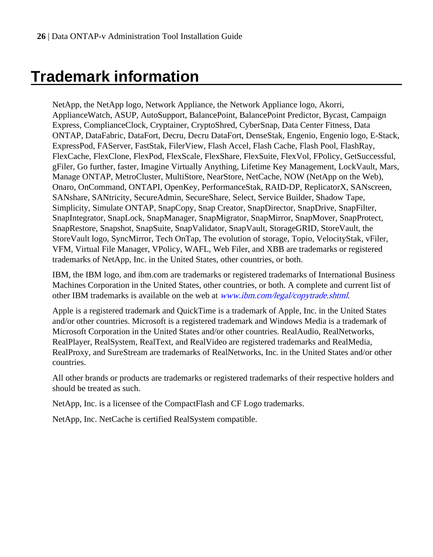# <span id="page-25-0"></span>**Trademark information**

NetApp, the NetApp logo, Network Appliance, the Network Appliance logo, Akorri, ApplianceWatch, ASUP, AutoSupport, BalancePoint, BalancePoint Predictor, Bycast, Campaign Express, ComplianceClock, Cryptainer, CryptoShred, CyberSnap, Data Center Fitness, Data ONTAP, DataFabric, DataFort, Decru, Decru DataFort, DenseStak, Engenio, Engenio logo, E-Stack, ExpressPod, FAServer, FastStak, FilerView, Flash Accel, Flash Cache, Flash Pool, FlashRay, FlexCache, FlexClone, FlexPod, FlexScale, FlexShare, FlexSuite, FlexVol, FPolicy, GetSuccessful, gFiler, Go further, faster, Imagine Virtually Anything, Lifetime Key Management, LockVault, Mars, Manage ONTAP, MetroCluster, MultiStore, NearStore, NetCache, NOW (NetApp on the Web), Onaro, OnCommand, ONTAPI, OpenKey, PerformanceStak, RAID-DP, ReplicatorX, SANscreen, SANshare, SANtricity, SecureAdmin, SecureShare, Select, Service Builder, Shadow Tape, Simplicity, Simulate ONTAP, SnapCopy, Snap Creator, SnapDirector, SnapDrive, SnapFilter, SnapIntegrator, SnapLock, SnapManager, SnapMigrator, SnapMirror, SnapMover, SnapProtect, SnapRestore, Snapshot, SnapSuite, SnapValidator, SnapVault, StorageGRID, StoreVault, the StoreVault logo, SyncMirror, Tech OnTap, The evolution of storage, Topio, VelocityStak, vFiler, VFM, Virtual File Manager, VPolicy, WAFL, Web Filer, and XBB are trademarks or registered trademarks of NetApp, Inc. in the United States, other countries, or both.

IBM, the IBM logo, and ibm.com are trademarks or registered trademarks of International Business Machines Corporation in the United States, other countries, or both. A complete and current list of other IBM trademarks is available on the web at [www.ibm.com/legal/copytrade.shtml](http://www.ibm.com/legal/copytrade.shtml).

Apple is a registered trademark and QuickTime is a trademark of Apple, Inc. in the United States and/or other countries. Microsoft is a registered trademark and Windows Media is a trademark of Microsoft Corporation in the United States and/or other countries. RealAudio, RealNetworks, RealPlayer, RealSystem, RealText, and RealVideo are registered trademarks and RealMedia, RealProxy, and SureStream are trademarks of RealNetworks, Inc. in the United States and/or other countries.

All other brands or products are trademarks or registered trademarks of their respective holders and should be treated as such.

NetApp, Inc. is a licensee of the CompactFlash and CF Logo trademarks.

NetApp, Inc. NetCache is certified RealSystem compatible.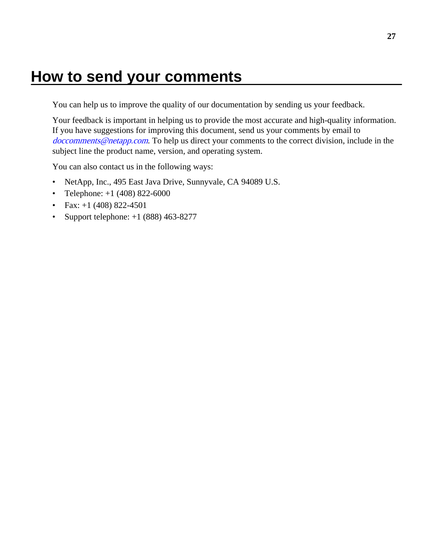# <span id="page-26-0"></span>**How to send your comments**

You can help us to improve the quality of our documentation by sending us your feedback.

Your feedback is important in helping us to provide the most accurate and high-quality information. If you have suggestions for improving this document, send us your comments by email to [doccomments@netapp.com](mailto:doccomments@netapp.com). To help us direct your comments to the correct division, include in the subject line the product name, version, and operating system.

You can also contact us in the following ways:

- NetApp, Inc., 495 East Java Drive, Sunnyvale, CA 94089 U.S.
- Telephone:  $+1$  (408) 822-6000
- Fax:  $+1$  (408) 822-4501
- Support telephone:  $+1$  (888) 463-8277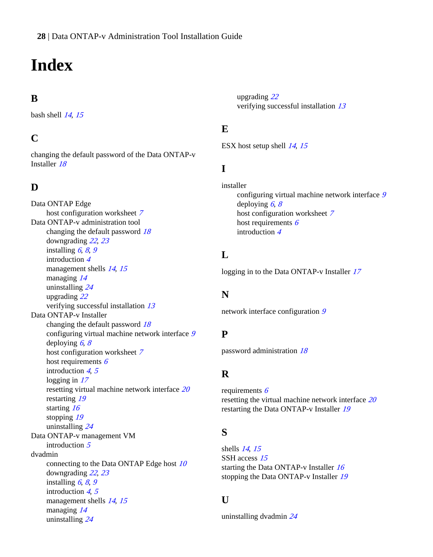# <span id="page-27-0"></span>**Index**

## **B**

bash shell  $14, 15$  $14, 15$  $14, 15$ 

### **C**

changing the default password of the Data ONTAP-v Installer [18](#page-17-0)

### **D**

Data ONTAP Edge host configuration worksheet [7](#page-6-0) Data ONTAP-v administration tool changing the default password  $18$ downgrading [22](#page-21-0), [23](#page-22-0) installing  $6, 8, 9$  $6, 8, 9$  $6, 8, 9$  $6, 8, 9$  $6, 8, 9$ introduction [4](#page-3-0) management shells [14](#page-13-0), [15](#page-14-0) managing [14](#page-13-0) uninstalling [24](#page-23-0) upgrading [22](#page-21-0) verifying successful installation [13](#page-12-0) Data ONTAP-v Installer changing the default password [18](#page-17-0) configuring virtual machine network interface [9](#page-8-0) deploying  $6, 8$  $6, 8$  $6, 8$ host configuration worksheet [7](#page-6-0) host requirements  $6$ introduction  $4, 5$  $4, 5$  $4, 5$ logging in [17](#page-16-0) resetting virtual machine network interface [20](#page-19-0) restarting [19](#page-18-0) starting [16](#page-15-0) stopping [19](#page-18-0) uninstalling [24](#page-23-0) Data ONTAP-v management VM introduction [5](#page-4-0) dvadmin connecting to the Data ONTAP Edge host [10](#page-9-0) downgrading [22](#page-21-0), [23](#page-22-0) installing  $6, 8, 9$  $6, 8, 9$  $6, 8, 9$  $6, 8, 9$  $6, 8, 9$ introduction [4](#page-3-0), [5](#page-4-0) management shells [14](#page-13-0), [15](#page-14-0) managing [14](#page-13-0) uninstalling [24](#page-23-0)

upgrading [22](#page-21-0) verifying successful installation [13](#page-12-0)

### **E**

ESX host setup shell [14](#page-13-0), [15](#page-14-0)

### **I**

installer configuring virtual machine network interface [9](#page-8-0) deploying  $6, 8$  $6, 8$  $6, 8$ host configuration worksheet [7](#page-6-0) host requirements [6](#page-5-0) introduction [4](#page-3-0)

### **L**

logging in to the Data ONTAP-v Installer [17](#page-16-0)

### **N**

network interface configuration [9](#page-8-0)

### **P**

password administration [18](#page-17-0)

### **R**

requirements [6](#page-5-0) resetting the virtual machine network interface [20](#page-19-0) restarting the Data ONTAP-v Installer [19](#page-18-0)

### **S**

shells [14](#page-13-0), [15](#page-14-0) SSH access [15](#page-14-0) starting the Data ONTAP-v Installer [16](#page-15-0) stopping the Data ONTAP-v Installer [19](#page-18-0)

### **U**

uninstalling dvadmin [24](#page-23-0)